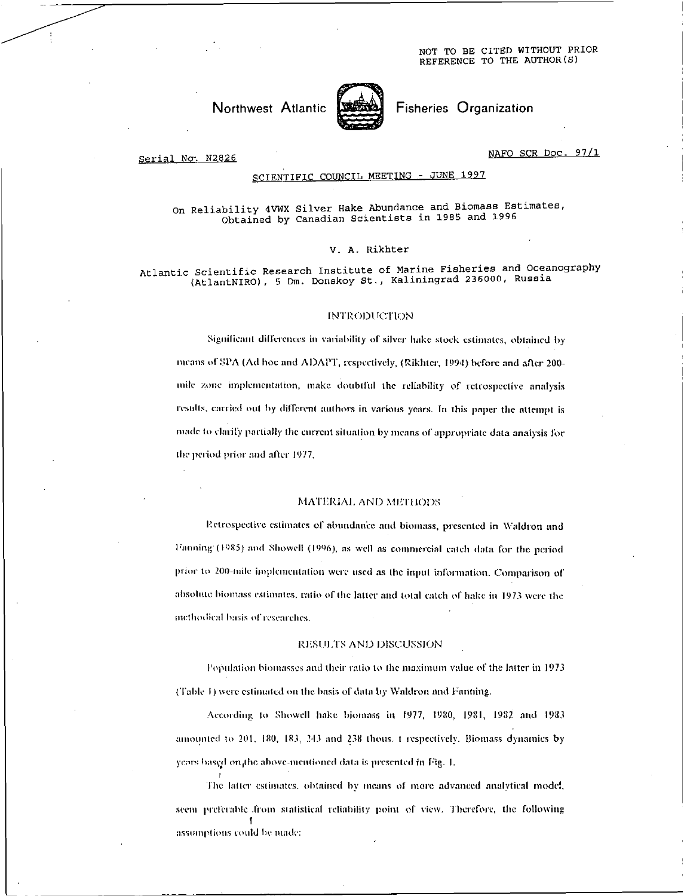NOT TO BE CITED WITHOUT PRIOR REFERENCE TO THE AUTHOR(S)



Fisheries Organization

#### Serial No*-*. N2826

NAFO SCR Doc. 97/1

## SCIENTIFIC COUNCIL MEETING - JUNE 1997

## On Reliability 4VWX Silver Hake Abundance and Biomass Estimates, Obtained by Canadian Scientists in 1985 and 1996

#### V. A. Rikhter

Atlantic Scientific Research Institute of Marine Fisheries and Oceanography (AtlantNIRO), 5 Dm. Donskoy St., Kaliningrad 236000, Russia

#### INTRODUCTION

Significant differences in variability of silver hake stock estimates, obtained by means of SPA (Ad hoc and ADAPT, respectively, (Rikhter, 1994) before and after 200mile zone implementation, make doubtful the reliability of retrospective analysis results, carried out by different authors in various years. In this paper the attempt is made to clarify partially the current situation by means of appropriate data analysis for the period prior and after 1977.

#### MATERIAL AND METHODS

Retrospective estimates of abundance and biomass, presented in Waldron and Fanning (1985) and Showell (1996), as well as commercial catch data for the period prior to 200-mile implementation were used as the input information. Comparison of absolute biomass estimates, ratio of the latter and total catch of hake in 1973 were the methodical basis or researches .

#### RESULTS AND DISCUSSION

Population biomasses and their ratio to the maximum value of the latter in 1973 (Table 1) were estimated on the basis of data by Waldron and Fanning.

According to Showell hake biomass in 1977, 1980, 1981, 1982 and 1983 amounted to 201, 180, 183, 213 and 238 thous. t respectively. Biomass dynamics by years hased on,the above-mentioned data is presented in Fig. 1.

The latter estimates. obtained by means of more advanced analytical model. seem preferable .from statistical reliability point of view. Therefore, the following assumptions could he made: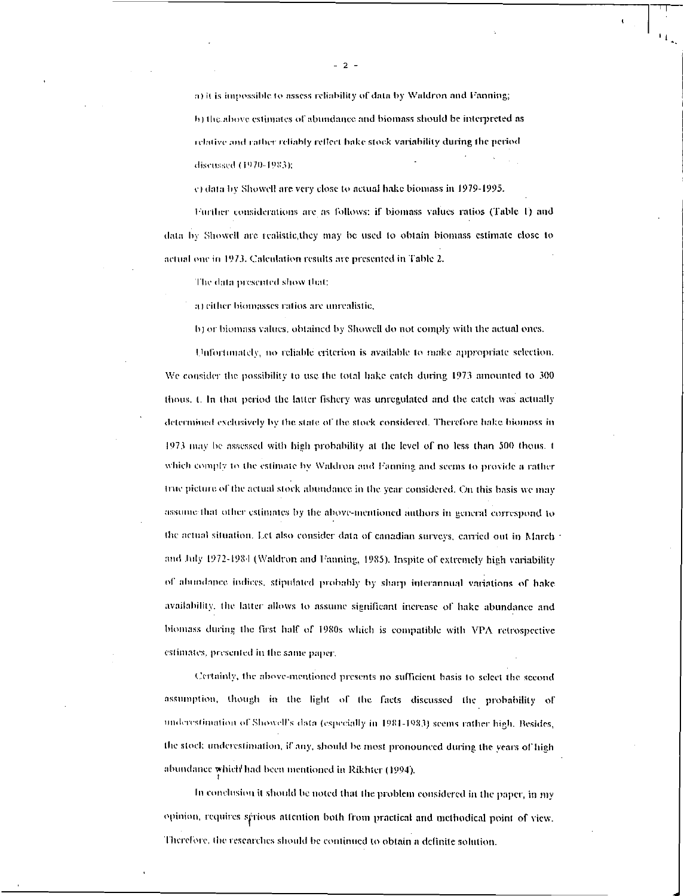a) it is impossible to assess reliability of data by Waldron and Fanning; I)) the above estimates of abundance and biomass should be interpreted as relative and rather reliably reflect hake stock variability during the period discussed (1970-1983);

e) data by Showell are very close to actual hake biomass in 1979-1995.

Further considerations are as follows: if biomass values ratios (Table I) and data by Showell arc tcalistic,thcy may be used to obtain biomass estimate close to actual one in 1973. Calculation results are presented in Table 2.

The data presented show Mat:

a) either biomasses ratios are unrealistic.

I)) or biomass values, obtained by Showell do not comply with the actual ones.

Unfortunately, no reliable criterion is available to make appropriate selection. We consider the possibility to use the total hake catch during 1973 amounted to 300 thous. L In that period the latter fishery was unregulated and the catch was actually determined exclusively by the state of the stock considered. Therefore hake biomass in 1973 nay be assessed with high probability at the level of no less than 500 thous. t which comply to the estimate by Waldron and Fanning and seems to provide a rather Iruc picture Or the actual stock abundance in the year considered. On this basis we may assume:that other estimates by the above-mentioned authors in general correspond to the actual situation. 1.et also consider data of canadian surveys, carried out in March and July 1972-1984 (Waldron and Fanning, 1985). Inspite of extremely high variability of abundance indices, stipulated probably by sharp interannual variations of hake availability. the latter allows to assume significant increase of hake abundance and biomass during the first half of 1980s which is compatible with VPA retrospective estimates, presented in the same paper,

Certainly, the above-mentioned presents no sufficient basis to select the second assumption, though in the light or the facts discussed the probability of miderestimaiion of Showell's data (especially in 1081-1083) seems rather high. Besides, the stock underestimation, if any, should be most pronounced during the years of high abundance which' had been mentioned in Rikhter (1994).

In conclusion it should be noted that the problem considered in the paper, in my opinion, requires sprious attention both from practical and methodical point of view. Therefore, the researches should be continued to obtain a definite solution.

- 2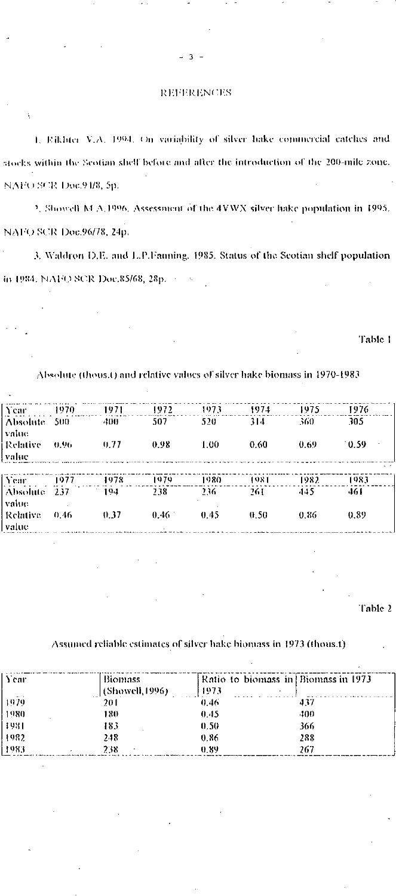### **REFERENCES**

 $\ddot{\phantom{a}}$ 

1. Eikhter V.A. 1994. On variability of silver hake commercial catches and stocks within the Scotian shelf before and after the introduction of the 200-mile zone. NAFO SCR Doc.94/8, 5p.

2. Showell M A 1996. Assessment of the 4VWX silver hake population in 1995. NAFO SCR Doc.96/78, 24p.

3. Waldron D.E. and L.P.Fanning. 1985. Status of the Scotian shelf population in 1984, NAFO SCR Doc.85/68, 28p. 2002.

Table 1

## Absolute (thous.t) and relative values of silver hake biomass in 1970-1983

| Year                     | 1970. | 1971   | 1972     | 1973  | 1974 | 1975  | 1976                       |
|--------------------------|-------|--------|----------|-------|------|-------|----------------------------|
| Absolute 500<br>value    |       | 400    | 507      | 520   | 314  | 360   | 305                        |
| <b>Relative</b><br>value | 0.96  | 0.77   | 0.98     | 1.00. | 0.60 | 0.69  | $-0.59$<br>$\cdot$ $\cdot$ |
| Year                     | 1977  | - 1978 | 1979     | 1980. | 1981 | 1982. | 1983                       |
| Absolute 237<br>value.   |       | $-104$ | 738.     | 236.  | 261  | -145  | 461                        |
| - Relative<br>value      | 0.46  | 0.37   | $0.46 -$ | 0.45  | 0.50 | 0.86  | 0.89                       |

Table 2

# Assumed reliable estimates of silver hake biomass in 1973 (thous.t)

| A car<br><b>Section</b> | Biomass<br>[(Showell, 1996)] | Ratio to biomass in Biomass in 1973<br>11973 |      |
|-------------------------|------------------------------|----------------------------------------------|------|
| 1979                    | 201                          | 0.46                                         | 437  |
| 1980                    | 180                          | 0.45                                         | -100 |
| 4981                    | 183                          | 0.50                                         | 366  |
| -1982                   | 248                          | 0.86                                         | 288  |
| 1983                    | 238                          | 0.89                                         | 267  |